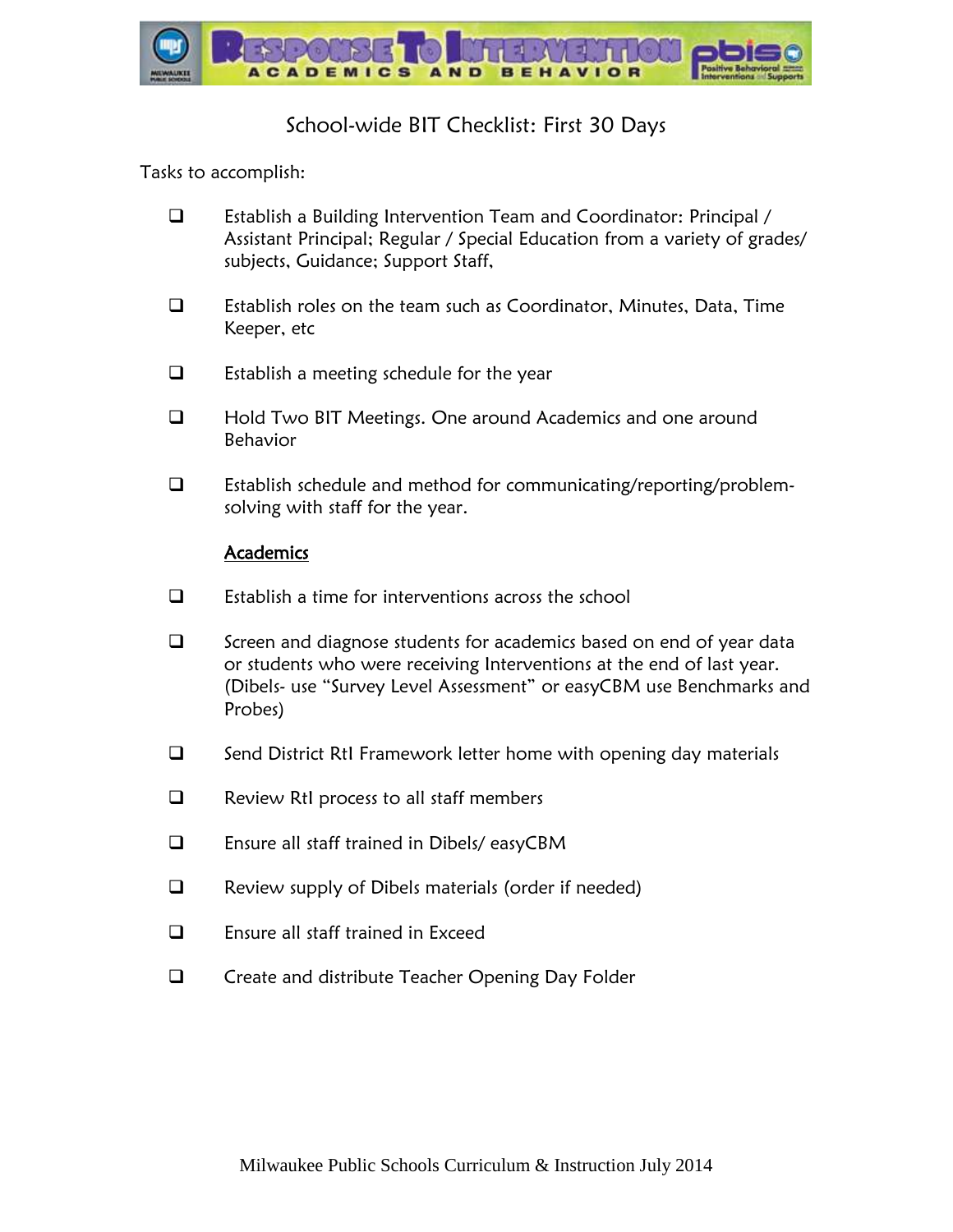

## School-wide BIT Checklist: First 30 Days

Tasks to accomplish:

- Establish a Building Intervention Team and Coordinator: Principal / Assistant Principal; Regular / Special Education from a variety of grades/ subjects, Guidance; Support Staff,
- $\Box$  Establish roles on the team such as Coordinator, Minutes, Data, Time Keeper, etc
- $\Box$  Establish a meeting schedule for the year
- □ Hold Two BIT Meetings. One around Academics and one around Behavior
- Establish schedule and method for communicating/reporting/problemsolving with staff for the year.

## **Academics**

- $\square$  Establish a time for interventions across the school
- $\Box$  Screen and diagnose students for academics based on end of year data or students who were receiving Interventions at the end of last year. (Dibels- use "Survey Level Assessment" or easyCBM use Benchmarks and Probes)
- $\Box$  Send District RtI Framework letter home with opening day materials
- $\Box$  Review RtI process to all staff members
- Ensure all staff trained in Dibels/ easyCBM
- □ Review supply of Dibels materials (order if needed)
- $\Box$  Ensure all staff trained in Exceed
- □ Create and distribute Teacher Opening Day Folder